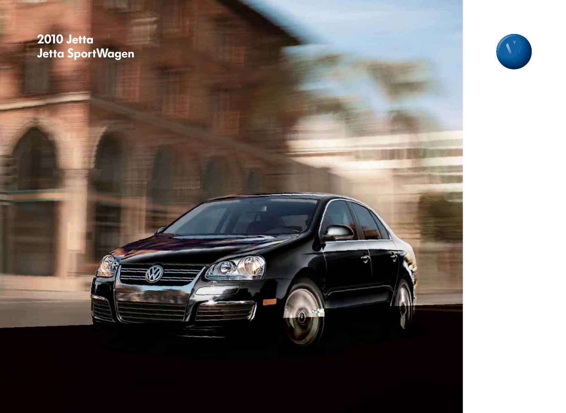### **2010 Jetta** Jetta SportWagen

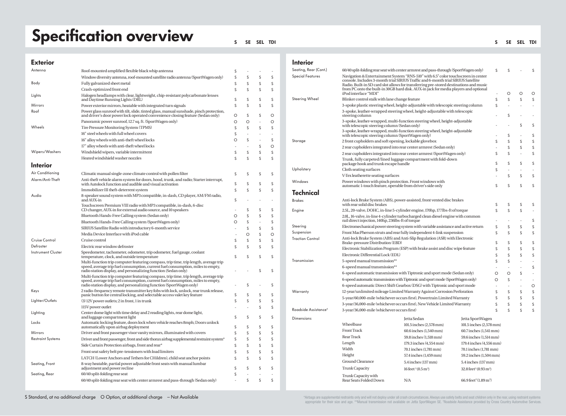# Specification overview substitution over  $\mathbf{S}^{\text{max}}$

#### **Exterior**

| Antenna                   | Roof-mounted amplified flexible black whip antenna                                                                                                                                                                                             | S       |    |        |    |
|---------------------------|------------------------------------------------------------------------------------------------------------------------------------------------------------------------------------------------------------------------------------------------|---------|----|--------|----|
|                           | Window diversity antenna, roof-mounted satellite radio antenna (SportWagen only)                                                                                                                                                               | S       | S  | S      | S  |
| Body                      | Fully galvanized sheet metal                                                                                                                                                                                                                   | S       | S  | S      | S  |
|                           | Crash-optimized front end                                                                                                                                                                                                                      | S       | S  | S      | S  |
| Lights                    | Halogen headlamps with clear, lightweight, chip-resistant polycarbonate lenses                                                                                                                                                                 | S       | S  | S      | S  |
| Mirrors                   | and Daytime Running Lights (DRL)<br>Power exterior mirrors, heatable with integrated turn signals                                                                                                                                              | S       | S  | S      | S  |
| Roof                      | Power glass sunroof with tilt, slide, tinted glass, manual sunshade, pinch protection,                                                                                                                                                         |         |    |        |    |
|                           | and driver's door power lock operated convenience closing feature (Sedan only)                                                                                                                                                                 | O       | S  | S      | O  |
|                           | Panoramic power sunroof, 12.7 sq. ft. (SportWagen only)                                                                                                                                                                                        | O       | O  | ÷,     | O  |
| Wheels                    | Tire Pressure Monitoring System (TPMS)                                                                                                                                                                                                         | S       | S  | S      | S  |
|                           | 16" steel wheels with full wheel covers                                                                                                                                                                                                        | S       | ä, |        | ÷. |
|                           | 16" alloy wheels with anti-theft wheel locks                                                                                                                                                                                                   | O       | S  | $\sim$ | S  |
|                           | 17" alloy wheels with anti-theft wheel locks                                                                                                                                                                                                   |         |    | S      | O  |
| Wipers/Washers            | Windshield wipers, variable intermittent                                                                                                                                                                                                       | S       | S  | S      | S  |
|                           | Heated windshield washer nozzles                                                                                                                                                                                                               | S       | S  | S      | S  |
| Interior                  |                                                                                                                                                                                                                                                |         |    |        |    |
| Air Conditioning          | Climatic manual single-zone climate control with pollen filter                                                                                                                                                                                 | S       | S  | S      | S  |
| Alarm/Anti-Theft          | Anti-theft vehicle alarm system for doors, hood, trunk, and radio; Starter interrupt,                                                                                                                                                          |         |    |        |    |
|                           | with Autolock function and audible and visual activation                                                                                                                                                                                       | S       | S  | S      | S  |
|                           | Immobilizer III theft-deterrent system                                                                                                                                                                                                         | S       | Ś  | S      | S  |
| Audio                     | 8-speaker sound system with MP3 compatible, in-dash, CD player, AM/FM radio,<br>and AUX-in                                                                                                                                                     | S       | ä, | ٠      | ٠  |
|                           | Touchscreen Premium VIII radio with MP3 compatible, in-dash, 6-disc<br>CD changer, AUX-in for external audio source, and 10 speakers                                                                                                           |         | S  | S      | S  |
|                           | Bluetooth Hands-Free Calling system (Sedan only)                                                                                                                                                                                               | O       | S  | S      | S  |
|                           | Bluetooth Hands-Free Calling system (SportWagen only)                                                                                                                                                                                          | $\circ$ | S  | ÷,     | S  |
|                           | SIRIUS Satellite Radio with introductory 6-month service                                                                                                                                                                                       | ٠       | S  | S      | S  |
|                           | Media Device Interface with iPod cable                                                                                                                                                                                                         | ÷,      | O  | S      | O  |
| Cruise Control            | Cruise control                                                                                                                                                                                                                                 | S       | S  | S      | S  |
| Defroster                 | Electric rear window defroster                                                                                                                                                                                                                 | S       | S  | S      | S  |
| <b>Instrument Cluster</b> | Speedometer, tachometer, odometer, trip odometer, fuel gauge, coolant<br>temperature, clock, and outside temperature                                                                                                                           | S       | S  | S      | S  |
|                           | Multi-function trip computer featuring compass, trip time, trip length, average trip<br>speed, average trip fuel consumption, current fuel consumption, miles to empty,<br>radio station display, and personalizing function (Sedan only)      |         |    | S      | S  |
|                           | Multi-function trip computer featuring compass, trip time, trip length, average trip<br>speed, average trip fuel consumption, current fuel consumption, miles to empty,<br>radio station display, and personalizing function (SportWagen only) |         | S  |        | S  |
| Keys                      | 2 radio-frequency remote transmitter key fobs with lock, unlock, rear trunk release,                                                                                                                                                           | S       | S  | S      | S  |
| Lighter/Outlets           | panic button for central locking, and selectable access valet key feature<br>(3) 12V power outlets; 2 in front, 1 in trunk                                                                                                                     | S       | Ś  | Ś      | S  |
|                           | 115V power outlet                                                                                                                                                                                                                              |         | ä, | S      | S  |
| Lighting                  | Center dome light with time delay and 2 reading lights, rear dome light,                                                                                                                                                                       |         |    | S      |    |
| Locks                     | and luggage compartment light<br>Automatic locking feature, doors lock when vehicle reaches 8mph; Doors unlock                                                                                                                                 | S       | S  |        | S  |
|                           | automatically upon airbag deployment                                                                                                                                                                                                           | S       | S  | S      | S  |
| Mirrors                   | Driver and front passenger visor vanity mirrors, illuminated with covers                                                                                                                                                                       | S       | S  | S      | S  |
| <b>Restraint Systems</b>  | Driver and front passenger, front and side thorax airbag supplemental restraint system*                                                                                                                                                        | S       | S  | S      | S  |
|                           | Side Curtain Protection airbags, front and rear*                                                                                                                                                                                               | S       | S  | S      | S  |
|                           | Front seat safety belt pre-tensioners with load limiters                                                                                                                                                                                       | S       | S  | S      | S  |
|                           | LATCH (Lower Anchors and Tethers for CHildren), child seat anchor points                                                                                                                                                                       | S       | S  | S      | S  |
| Seating, Front            | 8-way heatable, partial power adjustable front seats with manual lumbar<br>adjustment and power recline                                                                                                                                        | S       | S  | S      | S  |
| Seating, Rear             | 60/40 split-folding rear seat                                                                                                                                                                                                                  | S       |    |        |    |
|                           | 60/40 split-folding rear seat with center armrest and pass-through (Sedan only)                                                                                                                                                                | í,      | S  | S      | S  |
|                           |                                                                                                                                                                                                                                                |         |    |        |    |

#### Interior

| Seating, Rear (Cont.)            | 60/40 split-folding rear seat with center armrest and pass-through (SportWagen only)                                                                                                                                                                                                                                                                     |                                                  |                                                 |                         | S       |         | S       |  |
|----------------------------------|----------------------------------------------------------------------------------------------------------------------------------------------------------------------------------------------------------------------------------------------------------------------------------------------------------------------------------------------------------|--------------------------------------------------|-------------------------------------------------|-------------------------|---------|---------|---------|--|
| <b>Special Features</b>          | Navigation & Entertainment System "RNS-510" with 6.5" color touchscreen in center<br>console. Includes 3-month trial SIRIUS Traffic and 6-month trial SIRIUS Satellite<br>Radio. Built-in SD card slot allows for transferring pre-stored destinations and music<br>from PC onto the built-in 30GB hard disk. AUX-in jack for media players and optional |                                                  |                                                 |                         |         |         |         |  |
|                                  | iPod interface "MDI"                                                                                                                                                                                                                                                                                                                                     |                                                  |                                                 |                         | $\circ$ | $\circ$ | $\circ$ |  |
| Steering Wheel                   | Blinker control stalk with lane change feature                                                                                                                                                                                                                                                                                                           |                                                  |                                                 | S                       | S       | S       | S       |  |
|                                  | 3-spoke plastic steering wheel, height-adjustable with telescopic steering column                                                                                                                                                                                                                                                                        |                                                  |                                                 | S                       | ÷,      | ÷,      |         |  |
|                                  | 3-spoke, leather-wrapped steering wheel, height-adjustable with telescopic                                                                                                                                                                                                                                                                               |                                                  |                                                 |                         |         |         |         |  |
|                                  | steering column                                                                                                                                                                                                                                                                                                                                          |                                                  |                                                 |                         | S       | ä,      |         |  |
|                                  | 3-spoke, leather-wrapped, multi-function steering wheel, height-adjustable<br>with telescopic steering column (Sedan only)                                                                                                                                                                                                                               |                                                  |                                                 |                         |         | S       | S       |  |
|                                  | 3-spoke, leather-wrapped, multi-function steering wheel, height-adjustable<br>with telescopic steering column (SportWagen only)                                                                                                                                                                                                                          |                                                  |                                                 |                         | S       | ÷       | S       |  |
| Storage                          | 2 front cupholders and soft opening, lockable glovebox                                                                                                                                                                                                                                                                                                   |                                                  |                                                 | S                       | S       | S       | S       |  |
|                                  | 2 rear cupholders integrated into rear center armrest (Sedan only)                                                                                                                                                                                                                                                                                       |                                                  |                                                 |                         | S       | S       | S       |  |
|                                  | 2 rear cupholders integrated into rear center armrest (SportWagen only)                                                                                                                                                                                                                                                                                  |                                                  |                                                 | S                       | S       | ä,      | S       |  |
|                                  | Trunk, fully carpeted/lined luggage compartment with fold-down<br>package hook and trunk escape handle                                                                                                                                                                                                                                                   |                                                  |                                                 | S                       | S       | S       | S       |  |
| Upholstery                       | Cloth seating surfaces                                                                                                                                                                                                                                                                                                                                   |                                                  |                                                 | S                       |         | i,      |         |  |
|                                  | V-Tex leatherette seating surfaces                                                                                                                                                                                                                                                                                                                       |                                                  |                                                 | ä,                      | S       | S       | S       |  |
| Windows                          | Power windows with pinch protection. Front windows with<br>automatic 1-touch feature, operable from driver's side only                                                                                                                                                                                                                                   |                                                  |                                                 | S                       | S       | S       | S       |  |
| Technical                        |                                                                                                                                                                                                                                                                                                                                                          |                                                  |                                                 |                         |         |         |         |  |
| <b>Brakes</b>                    | Anti-lock Brake System (ABS), power-assisted, front vented disc brakes                                                                                                                                                                                                                                                                                   |                                                  |                                                 | S                       | S       | S       | S       |  |
| Engine                           | with rear solid disc brakes<br>2.5L, 20-valve, DOHC, in-line 5-cylinder engine, 170hp, 177lbs-ft of torque                                                                                                                                                                                                                                               |                                                  |                                                 | S                       | S       | S       |         |  |
|                                  | 2.0L, 16-valve, in-line 4-cylinder turbocharged clean diesel engine with common                                                                                                                                                                                                                                                                          |                                                  |                                                 |                         | ÷,      | J,      | S       |  |
| Steering                         | rail direct injection, 140hp, 236lbs-ft of torque<br>Electromechanical power steering system with variable assistance and active return                                                                                                                                                                                                                  |                                                  |                                                 |                         | S       | S       | S       |  |
| Suspension                       | Front MacPherson struts and rear fully independent 4-link suspension                                                                                                                                                                                                                                                                                     |                                                  |                                                 |                         | S       | S       | S       |  |
| <b>Traction Control</b>          | Anti-lock Brake System (ABS) and Anti-Slip Regulation (ASR) with Electronic<br>Brake-pressure Distribution (EBD)                                                                                                                                                                                                                                         |                                                  |                                                 |                         |         |         |         |  |
|                                  |                                                                                                                                                                                                                                                                                                                                                          |                                                  |                                                 |                         | S       | S       | S       |  |
|                                  | Electronic Stabilization Program (ESP) with brake assist and disc wipe feature                                                                                                                                                                                                                                                                           |                                                  |                                                 | S                       | S       | S       | S       |  |
|                                  | Electronic Differential Lock (EDL)                                                                                                                                                                                                                                                                                                                       |                                                  |                                                 | S                       | S       | S       | S       |  |
| Transmission                     | 5-speed manual transmission**                                                                                                                                                                                                                                                                                                                            |                                                  |                                                 | S                       | S       | ä,      | ä,      |  |
|                                  | 6-speed manual transmission**                                                                                                                                                                                                                                                                                                                            |                                                  |                                                 |                         |         | ä,      | S       |  |
|                                  | 6-speed automatic transmission with Tiptronic and sport mode (Sedan only)                                                                                                                                                                                                                                                                                |                                                  |                                                 | O                       | O       | S       |         |  |
|                                  | 6-speed automatic transmission with Tiptronic and sport mode (SportWagen only)                                                                                                                                                                                                                                                                           |                                                  |                                                 | O                       | S       | ÷,      | ä,      |  |
|                                  | 6-speed automatic Direct Shift Gearbox (DSG) with Tiptronic and sport mode                                                                                                                                                                                                                                                                               |                                                  |                                                 |                         | ä,      | ÷,      | O       |  |
| Warranty                         | 12-year/unlimited mileage Limited Warranty Against Corrosion Perforation                                                                                                                                                                                                                                                                                 |                                                  |                                                 | S                       | S       | S       | S       |  |
|                                  | 5-year/60,000-mile (whichever occurs first), Powertrain Limited Warranty                                                                                                                                                                                                                                                                                 |                                                  |                                                 | S                       | S       | S       | S       |  |
|                                  | 3-year/36,000-mile (whichever occurs first), New Vehicle Limited Warranty                                                                                                                                                                                                                                                                                |                                                  |                                                 | S                       | S       | S       | S       |  |
| Roadside Assistance <sup>t</sup> | 3-year/36,000-mile (whichever occurs first)                                                                                                                                                                                                                                                                                                              |                                                  |                                                 | S                       | S       | S       | S       |  |
| Dimensions                       |                                                                                                                                                                                                                                                                                                                                                          | Jetta Sedan                                      | Jetta SportWagen                                |                         |         |         |         |  |
|                                  | Wheelbase<br>101.5 inches (2,578 mm)<br>101.5 inches (2,578 mm)                                                                                                                                                                                                                                                                                          |                                                  |                                                 |                         |         |         |         |  |
|                                  | <b>Front Track</b>                                                                                                                                                                                                                                                                                                                                       | 60.6 inches (1,540 mm)                           | 60.7 inches (1,541 mm)                          |                         |         |         |         |  |
|                                  | <b>Rear Track</b>                                                                                                                                                                                                                                                                                                                                        | 59.8 inches (1,518 mm)<br>59.6 inches (1,514 mm) |                                                 |                         |         |         |         |  |
|                                  | Length                                                                                                                                                                                                                                                                                                                                                   | 179.3 inches (4,554 mm)                          |                                                 | 179.4 inches (4,556 mm) |         |         |         |  |
|                                  | Width                                                                                                                                                                                                                                                                                                                                                    | 70.1 inches (1,781 mm)<br>70.1 inches (1,781 mm) |                                                 |                         |         |         |         |  |
|                                  | Height                                                                                                                                                                                                                                                                                                                                                   | 57.4 inches (1,459 mm)                           | 59.2 inches (1,504 mm)                          |                         |         |         |         |  |
|                                  | Ground Clearance                                                                                                                                                                                                                                                                                                                                         | 5.4 inches (137 mm)                              | 5.4 inches (137 mm)                             |                         |         |         |         |  |
|                                  | <b>Trunk Capacity</b>                                                                                                                                                                                                                                                                                                                                    |                                                  |                                                 |                         |         |         |         |  |
|                                  |                                                                                                                                                                                                                                                                                                                                                          | $16 \text{ feet}^3 (0.5 \text{ m}^3)$            | $32.8$ feet <sup>3</sup> (0.93 m <sup>3</sup> ) |                         |         |         |         |  |
|                                  | Trunk Capacity with<br>Rear Seats Folded Down                                                                                                                                                                                                                                                                                                            | N/A                                              | 66.9 feet <sup>3</sup> (1.89 m <sup>3</sup> )   |                         |         |         |         |  |